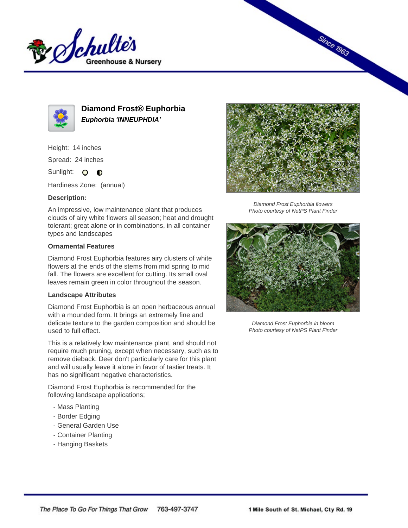



**Diamond Frost® Euphorbia Euphorbia 'INNEUPHDIA'**

Height: 14 inches

Spread: 24 inches

Sunlight: O **O** 

Hardiness Zone: (annual)

## **Description:**

An impressive, low maintenance plant that produces clouds of airy white flowers all season; heat and drought tolerant; great alone or in combinations, in all container types and landscapes

## **Ornamental Features**

Diamond Frost Euphorbia features airy clusters of white flowers at the ends of the stems from mid spring to mid fall. The flowers are excellent for cutting. Its small oval leaves remain green in color throughout the season.

# **Landscape Attributes**

Diamond Frost Euphorbia is an open herbaceous annual with a mounded form. It brings an extremely fine and delicate texture to the garden composition and should be used to full effect.

This is a relatively low maintenance plant, and should not require much pruning, except when necessary, such as to remove dieback. Deer don't particularly care for this plant and will usually leave it alone in favor of tastier treats. It has no significant negative characteristics.

Diamond Frost Euphorbia is recommended for the following landscape applications;

- Mass Planting
- Border Edging
- General Garden Use
- Container Planting
- Hanging Baskets



**Since 1963** 

Diamond Frost Euphorbia flowers Photo courtesy of NetPS Plant Finder



Diamond Frost Euphorbia in bloom Photo courtesy of NetPS Plant Finder